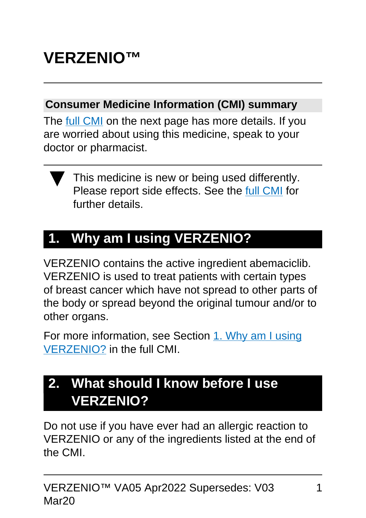# **VERZENIO™**

#### **Consumer Medicine Information (CMI) summary**

The [full CMI](#page-4-0) on the next page has more details. If you are worried about using this medicine, speak to your doctor or pharmacist.



This medicine is new or being used differently. Please report side effects. See the [full CMI](#page-4-0) for further details.

# **1. Why am I using VERZENIO?**

VERZENIO contains the active ingredient abemaciclib. VERZENIO is used to treat patients with certain types of breast cancer which have not spread to other parts of the body or spread beyond the original tumour and/or to other organs.

For more information, see Section [1. Why am I using](#page-4-1) [VERZENIO?](#page-4-1) in the full CMI.

# **2. What should I know before I use VERZENIO?**

Do not use if you have ever had an allergic reaction to VERZENIO or any of the ingredients listed at the end of the CMI.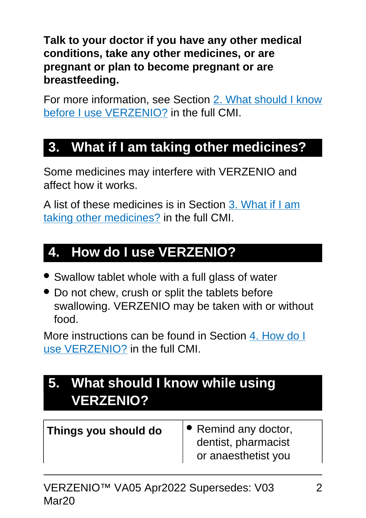**Talk to your doctor if you have any other medical conditions, take any other medicines, or are pregnant or plan to become pregnant or are breastfeeding.**

For more information, see Section [2. What should I know](#page-5-0) [before I use VERZENIO?](#page-5-0) in the full CMI.

## **3. What if I am taking other medicines?**

Some medicines may interfere with VERZENIO and affect how it works.

A list of these medicines is in Section [3. What if I am](#page-6-0) [taking other medicines?](#page-6-0) in the full CMI.

# **4. How do I use VERZENIO?**

- Swallow tablet whole with a full glass of water
- Do not chew, crush or split the tablets before swallowing. VERZENIO may be taken with or without food.

More instructions can be found in Section [4. How do I](#page-8-0) [use VERZENIO?](#page-8-0) in the full CMI.

# **5. What should I know while using VERZENIO?**

| $\bullet$ Remind any doctor,<br>Things you should do<br>dentist, pharmacist<br>or anaesthetist you |
|----------------------------------------------------------------------------------------------------|
|----------------------------------------------------------------------------------------------------|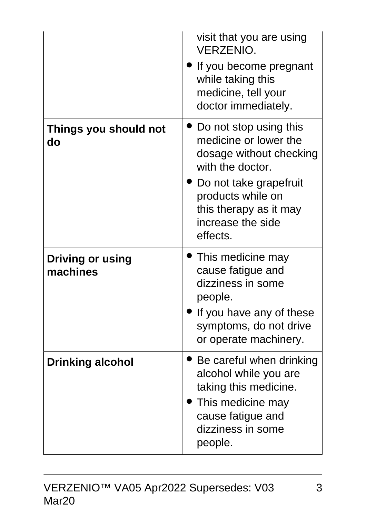|                                     | visit that you are using<br><b>VERZENIO.</b><br>If you become pregnant<br>while taking this<br>medicine, tell your<br>doctor immediately.                                                                    |
|-------------------------------------|--------------------------------------------------------------------------------------------------------------------------------------------------------------------------------------------------------------|
| Things you should not<br>do         | ▸ Do not stop using this<br>medicine or lower the<br>dosage without checking<br>with the doctor.<br>• Do not take grapefruit<br>products while on<br>this therapy as it may<br>increase the side<br>effects. |
| <b>Driving or using</b><br>machines | This medicine may<br>cause fatigue and<br>dizziness in some<br>people.<br>If you have any of these<br>symptoms, do not drive<br>or operate machinery.                                                        |
| <b>Drinking alcohol</b>             | Be careful when drinking<br>alcohol while you are<br>taking this medicine.<br>This medicine may '<br>cause fatigue and<br>dizziness in some<br>people.                                                       |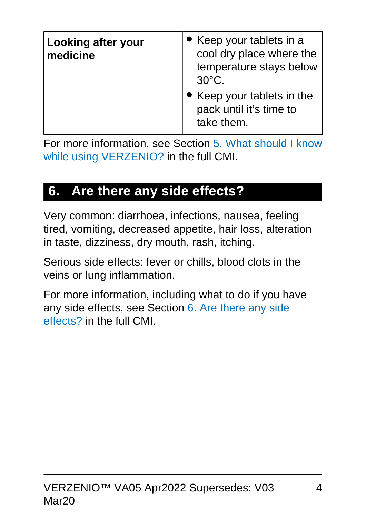| <b>Looking after your</b><br>medicine | • Keep your tablets in a<br>cool dry place where the<br>temperature stays below<br>$30^{\circ}$ C. |
|---------------------------------------|----------------------------------------------------------------------------------------------------|
|                                       | • Keep your tablets in the<br>pack until it's time to<br>take them.                                |

For more information, see Section [5. What should I know](#page-10-0) [while using VERZENIO?](#page-10-0) in the full CMI.

# **6. Are there any side effects?**

Very common: diarrhoea, infections, nausea, feeling tired, vomiting, decreased appetite, hair loss, alteration in taste, dizziness, dry mouth, rash, itching.

Serious side effects: fever or chills, blood clots in the veins or lung inflammation.

For more information, including what to do if you have any side effects, see Section [6. Are there any side](#page-13-0) [effects?](#page-13-0) in the full CMI.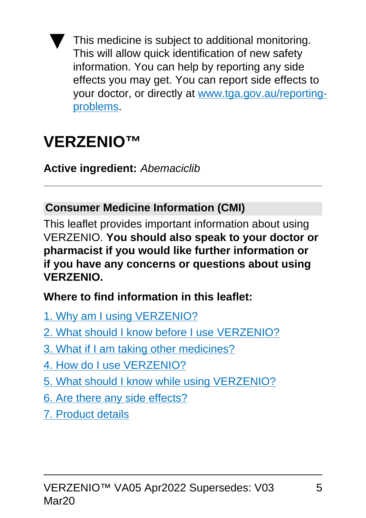This medicine is subject to additional monitoring. This will allow quick identification of new safety information. You can help by reporting any side effects you may get. You can report side effects to your doctor, or directly at [www.tga.gov.au/reporting](http://www.tga.gov.au/reporting-problems)[problems](http://www.tga.gov.au/reporting-problems).

# <span id="page-4-0"></span>**VERZENIO™**

**Active ingredient:** Abemaciclib

### **Consumer Medicine Information (CMI)**

This leaflet provides important information about using VERZENIO. **You should also speak to your doctor or pharmacist if you would like further information or if you have any concerns or questions about using VERZENIO.**

**Where to find information in this leaflet:**

- [1. Why am I using VERZENIO?](#page-4-1)
- [2. What should I know before I use VERZENIO?](#page-5-0)
- [3. What if I am taking other medicines?](#page-6-0)
- [4. How do I use VERZENIO?](#page-8-0)
- [5. What should I know while using VERZENIO?](#page-10-0)
- [6. Are there any side effects?](#page-13-0)
- <span id="page-4-1"></span>[7. Product details](#page-16-0)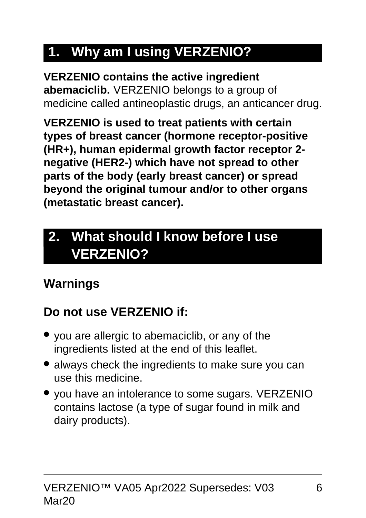# **1. Why am I using VERZENIO?**

**VERZENIO contains the active ingredient abemaciclib.** VERZENIO belongs to a group of medicine called antineoplastic drugs, an anticancer drug.

**VERZENIO is used to treat patients with certain types of breast cancer (hormone receptor-positive (HR+), human epidermal growth factor receptor 2 negative (HER2-) which have not spread to other parts of the body (early breast cancer) or spread beyond the original tumour and/or to other organs (metastatic breast cancer).**

# <span id="page-5-0"></span>**2. What should I know before I use VERZENIO?**

# **Warnings**

### **Do not use VERZENIO if:**

- you are allergic to abemaciclib, or any of the ingredients listed at the end of this leaflet.
- always check the ingredients to make sure you can use this medicine.
- you have an intolerance to some sugars. VERZENIO contains lactose (a type of sugar found in milk and dairy products).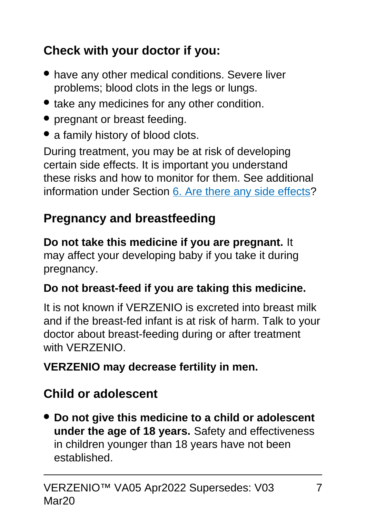# **Check with your doctor if you:**

- have any other medical conditions. Severe liver problems; blood clots in the legs or lungs.
- take any medicines for any other condition.
- pregnant or breast feeding.
- a family history of blood clots.

During treatment, you may be at risk of developing certain side effects. It is important you understand these risks and how to monitor for them. See additional information under Section [6. Are there any side effects](#page-13-0)?

### **Pregnancy and breastfeeding**

**Do not take this medicine if you are pregnant.** It may affect your developing baby if you take it during pregnancy.

### **Do not breast-feed if you are taking this medicine.**

It is not known if VERZENIO is excreted into breast milk and if the breast-fed infant is at risk of harm. Talk to your doctor about breast-feeding during or after treatment with VERZENIO.

### **VERZENIO may decrease fertility in men.**

### <span id="page-6-0"></span>**Child or adolescent**

● **Do not give this medicine to a child or adolescent under the age of 18 years.** Safety and effectiveness in children younger than 18 years have not been established.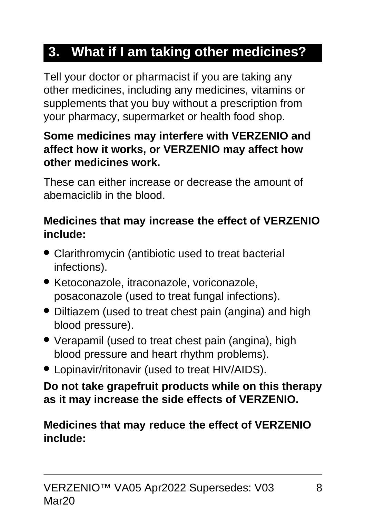# **3. What if I am taking other medicines?**

Tell your doctor or pharmacist if you are taking any other medicines, including any medicines, vitamins or supplements that you buy without a prescription from your pharmacy, supermarket or health food shop.

#### **Some medicines may interfere with VERZENIO and affect how it works, or VERZENIO may affect how other medicines work.**

These can either increase or decrease the amount of abemaciclib in the blood.

#### **Medicines that may increase the effect of VERZENIO include:**

- Clarithromycin (antibiotic used to treat bacterial infections).
- Ketoconazole, itraconazole, voriconazole, posaconazole (used to treat fungal infections).
- Diltiazem (used to treat chest pain (angina) and high blood pressure).
- Verapamil (used to treat chest pain (angina), high blood pressure and heart rhythm problems).
- Lopinavir/ritonavir (used to treat HIV/AIDS).

#### **Do not take grapefruit products while on this therapy as it may increase the side effects of VERZENIO.**

#### **Medicines that may reduce the effect of VERZENIO include:**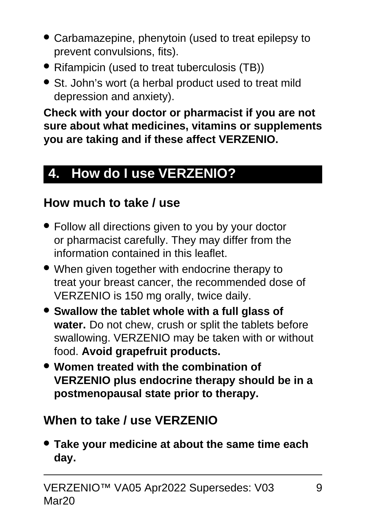- Carbamazepine, phenytoin (used to treat epilepsy to prevent convulsions, fits).
- Rifampicin (used to treat tuberculosis (TB))
- St. John's wort (a herbal product used to treat mild depression and anxiety).

**Check with your doctor or pharmacist if you are not sure about what medicines, vitamins or supplements you are taking and if these affect VERZENIO.**

## <span id="page-8-0"></span>**4. How do I use VERZENIO?**

### **How much to take / use**

- Follow all directions given to you by your doctor or pharmacist carefully. They may differ from the information contained in this leaflet.
- When given together with endocrine therapy to treat your breast cancer, the recommended dose of VERZENIO is 150 mg orally, twice daily.
- **Swallow the tablet whole with a full glass of water.** Do not chew, crush or split the tablets before swallowing. VERZENIO may be taken with or without food. **Avoid grapefruit products.**
- **Women treated with the combination of VERZENIO plus endocrine therapy should be in a postmenopausal state prior to therapy.**

### **When to take / use VERZENIO**

● **Take your medicine at about the same time each day.**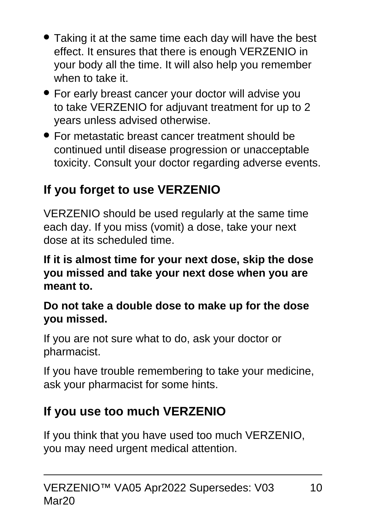- Taking it at the same time each day will have the best effect. It ensures that there is enough VERZENIO in your body all the time. It will also help you remember when to take it.
- For early breast cancer your doctor will advise you to take VERZENIO for adjuvant treatment for up to 2 years unless advised otherwise.
- For metastatic breast cancer treatment should be continued until disease progression or unacceptable toxicity. Consult your doctor regarding adverse events.

# **If you forget to use VERZENIO**

VERZENIO should be used regularly at the same time each day. If you miss (vomit) a dose, take your next dose at its scheduled time.

**If it is almost time for your next dose, skip the dose you missed and take your next dose when you are meant to.**

#### **Do not take a double dose to make up for the dose you missed.**

If you are not sure what to do, ask your doctor or pharmacist.

If you have trouble remembering to take your medicine, ask your pharmacist for some hints.

### **If you use too much VERZENIO**

If you think that you have used too much VERZENIO, you may need urgent medical attention.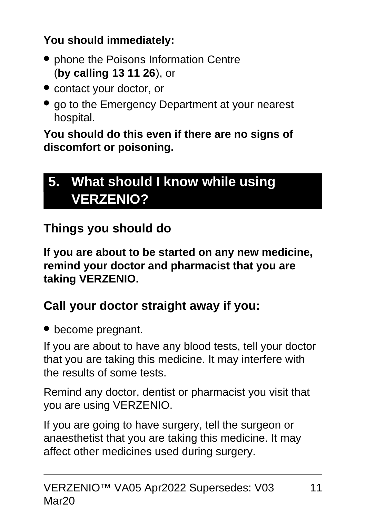### **You should immediately:**

- phone the Poisons Information Centre (**by calling 13 11 26**), or
- contact your doctor, or
- go to the Emergency Department at your nearest hospital.

**You should do this even if there are no signs of discomfort or poisoning.**

# <span id="page-10-0"></span>**5. What should I know while using VERZENIO?**

### **Things you should do**

**If you are about to be started on any new medicine, remind your doctor and pharmacist that you are taking VERZENIO.**

### **Call your doctor straight away if you:**

● become pregnant.

If you are about to have any blood tests, tell your doctor that you are taking this medicine. It may interfere with the results of some tests.

Remind any doctor, dentist or pharmacist you visit that you are using VERZENIO.

If you are going to have surgery, tell the surgeon or anaesthetist that you are taking this medicine. It may affect other medicines used during surgery.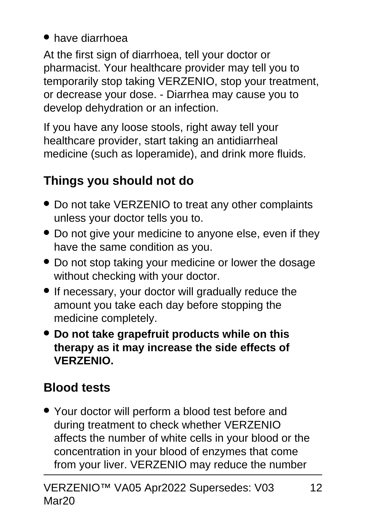● have diarrhoea

At the first sign of diarrhoea, tell your doctor or pharmacist. Your healthcare provider may tell you to temporarily stop taking VERZENIO, stop your treatment, or decrease your dose. - Diarrhea may cause you to develop dehydration or an infection.

If you have any loose stools, right away tell your healthcare provider, start taking an antidiarrheal medicine (such as loperamide), and drink more fluids.

### **Things you should not do**

- Do not take VERZENIO to treat any other complaints unless your doctor tells you to.
- Do not give your medicine to anyone else, even if they have the same condition as you.
- Do not stop taking your medicine or lower the dosage without checking with your doctor.
- If necessary, your doctor will gradually reduce the amount you take each day before stopping the medicine completely.
- **Do not take grapefruit products while on this therapy as it may increase the side effects of VERZENIO.**

### **Blood tests**

• Your doctor will perform a blood test before and during treatment to check whether VERZENIO affects the number of white cells in your blood or the concentration in your blood of enzymes that come from your liver. VERZENIO may reduce the number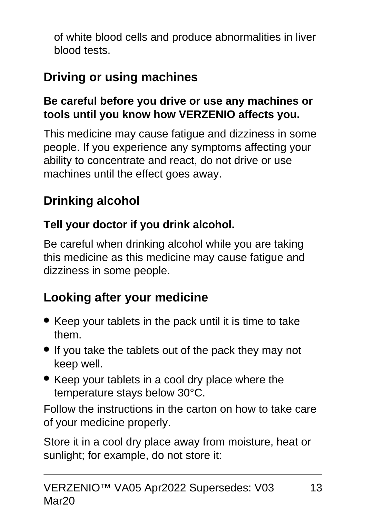of white blood cells and produce abnormalities in liver blood tests.

### **Driving or using machines**

#### **Be careful before you drive or use any machines or tools until you know how VERZENIO affects you.**

This medicine may cause fatigue and dizziness in some people. If you experience any symptoms affecting your ability to concentrate and react, do not drive or use machines until the effect goes away.

### **Drinking alcohol**

### **Tell your doctor if you drink alcohol.**

Be careful when drinking alcohol while you are taking this medicine as this medicine may cause fatigue and dizziness in some people.

### **Looking after your medicine**

- Keep your tablets in the pack until it is time to take them.
- If you take the tablets out of the pack they may not keep well.
- Keep your tablets in a cool dry place where the temperature stays below 30°C.

Follow the instructions in the carton on how to take care of your medicine properly.

Store it in a cool dry place away from moisture, heat or sunlight; for example, do not store it: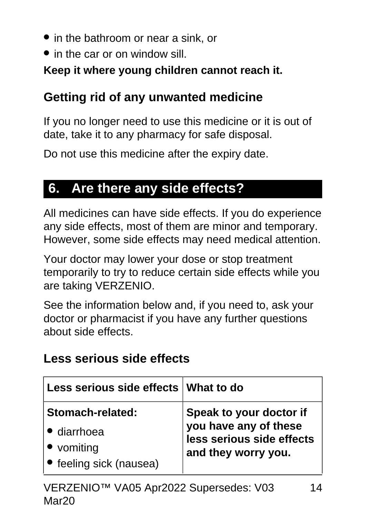- in the bathroom or near a sink, or
- in the car or on window sill.

### **Keep it where young children cannot reach it.**

### **Getting rid of any unwanted medicine**

If you no longer need to use this medicine or it is out of date, take it to any pharmacy for safe disposal.

Do not use this medicine after the expiry date.

# <span id="page-13-0"></span>**6. Are there any side effects?**

All medicines can have side effects. If you do experience any side effects, most of them are minor and temporary. However, some side effects may need medical attention.

Your doctor may lower your dose or stop treatment temporarily to try to reduce certain side effects while you are taking VERZENIO.

See the information below and, if you need to, ask your doctor or pharmacist if you have any further questions about side effects.

### **Less serious side effects**

| Less serious side effects   What to do               |                                                                                                      |
|------------------------------------------------------|------------------------------------------------------------------------------------------------------|
| <b>Stomach-related:</b><br>• diarrhoea<br>• vomiting | Speak to your doctor if<br>you have any of these<br>less serious side effects<br>and they worry you. |
| • feeling sick (nausea)                              |                                                                                                      |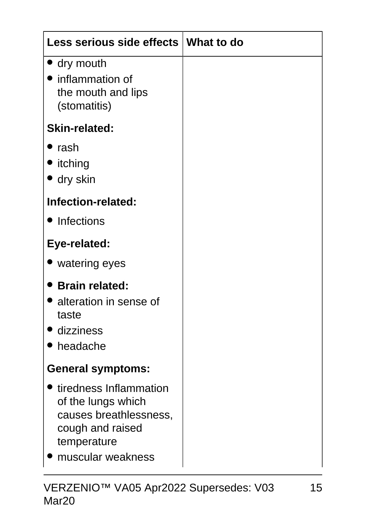| Less serious side effects What to do                                                                                           |  |
|--------------------------------------------------------------------------------------------------------------------------------|--|
| $\bullet$ dry mouth<br>• inflammation of<br>the mouth and lips<br>(stomatitis)                                                 |  |
| <b>Skin-related:</b>                                                                                                           |  |
| $\bullet$ rash<br>• itching<br>• dry skin                                                                                      |  |
| Infection-related:                                                                                                             |  |
| • Infections                                                                                                                   |  |
| Eye-related:                                                                                                                   |  |
| • watering eyes                                                                                                                |  |
| • Brain related:<br>• alteration in sense of<br>taste<br>dizziness<br>headache                                                 |  |
| <b>General symptoms:</b>                                                                                                       |  |
| tiredness Inflammation<br>of the lungs which<br>causes breathlessness,<br>cough and raised<br>temperature<br>muscular weakness |  |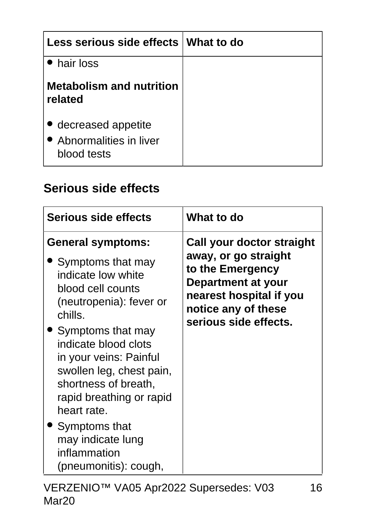| Less serious side effects   What to do                          |  |
|-----------------------------------------------------------------|--|
| • hair loss                                                     |  |
| <b>Metabolism and nutrition</b><br>related                      |  |
| • decreased appetite<br>• Abnormalities in liver<br>blood tests |  |

### **Serious side effects**

| <b>Serious side effects</b>                                                                                                                                                                                                                                                                                                                                                           | What to do                                                                                                                                                             |
|---------------------------------------------------------------------------------------------------------------------------------------------------------------------------------------------------------------------------------------------------------------------------------------------------------------------------------------------------------------------------------------|------------------------------------------------------------------------------------------------------------------------------------------------------------------------|
| <b>General symptoms:</b><br>Symptoms that may<br>indicate low white<br>blood cell counts<br>(neutropenia): fever or<br>chills.<br>' Symptoms that may<br>indicate blood clots<br>in your veins: Painful<br>swollen leg, chest pain,<br>shortness of breath,<br>rapid breathing or rapid<br>heart rate.<br>Symptoms that<br>may indicate lung<br>inflammation<br>(pneumonitis): cough, | Call your doctor straight<br>away, or go straight<br>to the Emergency<br>Department at your<br>nearest hospital if you<br>notice any of these<br>serious side effects. |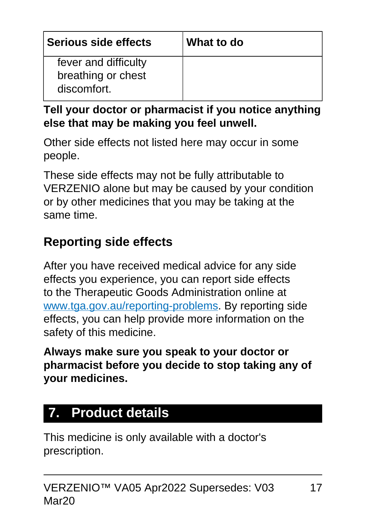| Serious side effects                                      | What to do |
|-----------------------------------------------------------|------------|
| fever and difficulty<br>breathing or chest<br>discomfort. |            |

**Tell your doctor or pharmacist if you notice anything else that may be making you feel unwell.**

Other side effects not listed here may occur in some people.

These side effects may not be fully attributable to VERZENIO alone but may be caused by your condition or by other medicines that you may be taking at the same time.

### **Reporting side effects**

After you have received medical advice for any side effects you experience, you can report side effects to the Therapeutic Goods Administration online at [www.tga.gov.au/reporting-problems.](http://www.tga.gov.au/reporting-problems) By reporting side effects, you can help provide more information on the safety of this medicine.

**Always make sure you speak to your doctor or pharmacist before you decide to stop taking any of your medicines.**

# <span id="page-16-0"></span>**7. Product details**

This medicine is only available with a doctor's prescription.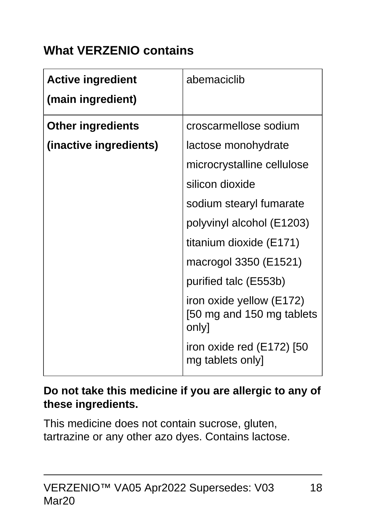### **What VERZENIO contains**

| <b>Active ingredient</b><br>(main ingredient) | abemaciclib                                                    |
|-----------------------------------------------|----------------------------------------------------------------|
| <b>Other ingredients</b>                      | croscarmellose sodium                                          |
| (inactive ingredients)                        | lactose monohydrate                                            |
|                                               | microcrystalline cellulose                                     |
|                                               | silicon dioxide                                                |
|                                               | sodium stearyl fumarate                                        |
|                                               | polyvinyl alcohol (E1203)                                      |
|                                               | titanium dioxide (E171)                                        |
|                                               | macrogol 3350 (E1521)                                          |
|                                               | purified talc (E553b)                                          |
|                                               | iron oxide yellow (E172)<br>[50 mg and 150 mg tablets<br>only] |
|                                               | iron oxide red (E172) [50<br>mg tablets only]                  |

#### **Do not take this medicine if you are allergic to any of these ingredients.**

This medicine does not contain sucrose, gluten, tartrazine or any other azo dyes. Contains lactose.